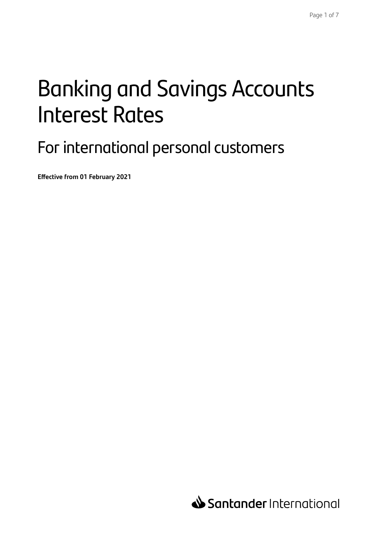# Banking and Savings Accounts Interest Rates

### For international personal customers

**Effective from 01 February 2021**

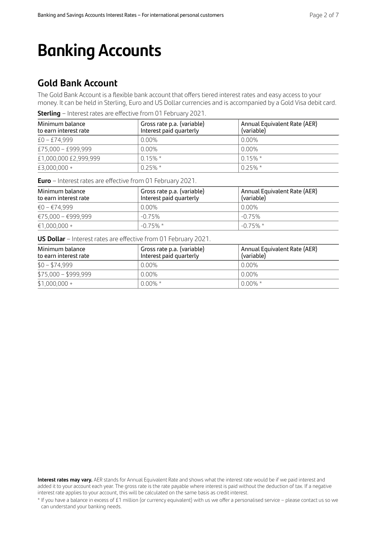## **Banking Accounts**

### **Gold Bank Account**

The Gold Bank Account is a flexible bank account that offers tiered interest rates and easy access to your money. It can be held in Sterling, Euro and US Dollar currencies and is accompanied by a Gold Visa debit card.

| <b>Sterling</b> – Interest rates are effective from 01 February 2021. |  |  |  |
|-----------------------------------------------------------------------|--|--|--|
|-----------------------------------------------------------------------|--|--|--|

| Minimum balance<br>to earn interest rate | Gross rate p.a. (variable)<br>Interest paid quarterly | Annual Equivalent Rate (AER)<br>(variable) |
|------------------------------------------|-------------------------------------------------------|--------------------------------------------|
| $£0 - £74.999$                           | $0.00\%$                                              | $0.00\%$                                   |
| £75,000 - £999,999                       | $0.00\%$                                              | 0.00%                                      |
| £1,000,000 £2,999,999                    | $0.15\%$ *                                            | $0.15\%$ *                                 |
| £3,000,000 +                             | $0.25\%$ *                                            | $0.25\%$ *                                 |

**Euro** – Interest rates are effective from 01 February 2021.

| Minimum balance<br>to earn interest rate | Gross rate p.a. (variable)<br>Interest paid quarterly | Annual Equivalent Rate (AER)<br>(variable) |
|------------------------------------------|-------------------------------------------------------|--------------------------------------------|
| €0 – €74.999                             | $0.00\%$                                              | 0.00%                                      |
| €75.000 - €999.999                       | $-0.75\%$                                             | $-0.75%$                                   |
| $€1,000,000 +$                           | $-0.75\%$ *                                           | $-0.75\%$ *                                |

**US Dollar** – Interest rates are effective from 01 February 2021.

| Minimum balance<br>to earn interest rate | Gross rate p.a. (variable)<br>Interest paid quarterly | Annual Equivalent Rate (AER)<br>(variable) |
|------------------------------------------|-------------------------------------------------------|--------------------------------------------|
| $$0 - $74,999$                           | 0.00%                                                 | 0.00%                                      |
| $$75,000 - $999,999$                     | 0.00%                                                 | 0.00%                                      |
| $$1,000,000 +$                           | $0.00\%$ *                                            | $0.00\%$ *                                 |

**Interest rates may vary.** AER stands for Annual Equivalent Rate and shows what the interest rate would be if we paid interest and added it to your account each year. The gross rate is the rate payable where interest is paid without the deduction of tax. If a negative interest rate applies to your account, this will be calculated on the same basis as credit interest.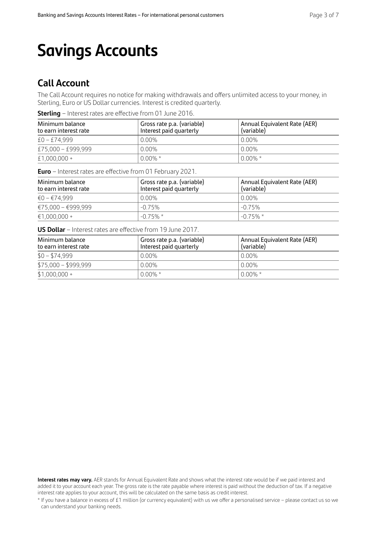## **Savings Accounts**

### **Call Account**

The Call Account requires no notice for making withdrawals and offers unlimited access to your money, in Sterling, Euro or US Dollar currencies. Interest is credited quarterly.

**Sterling** – Interest rates are effective from 01 June 2016.

| Minimum balance<br>to earn interest rate | Gross rate p.a. (variable)<br>Interest paid quarterly | Annual Equivalent Rate (AER)<br>(variable) |
|------------------------------------------|-------------------------------------------------------|--------------------------------------------|
| £0 – £74,999                             | $0.00\%$                                              | 0.00%                                      |
| £75,000 - £999,999                       | $0.00\%$                                              | $0.00\%$                                   |
| £1,000,000 +                             | $0.00\%$ *                                            | $0.00\%$ *                                 |

**Euro** – Interest rates are effective from 01 February 2021.

| Minimum balance<br>to earn interest rate | Gross rate p.a. (variable)<br>Interest paid quarterly | Annual Equivalent Rate (AER)<br>(variable) |
|------------------------------------------|-------------------------------------------------------|--------------------------------------------|
| €0 – €74.999                             | $0.00\%$                                              | 0.00%                                      |
| €75.000 - €999.999                       | $-0.75%$                                              | $-0.75%$                                   |
| €1,000,000 +                             | $-0.75\%$ *                                           | $-0.75\%$ *                                |

**US Dollar** – Interest rates are effective from 19 June 2017.

| Minimum balance<br>to earn interest rate | Gross rate p.a. (variable)<br>Interest paid quarterly | Annual Equivalent Rate (AER)<br>(variable) |
|------------------------------------------|-------------------------------------------------------|--------------------------------------------|
| $$0 - $74,999$                           | $0.00\%$                                              | 0.00%                                      |
| $$75,000 - $999,999$                     | $0.00\%$                                              | 0.00%                                      |
| $$1,000,000 +$                           | $0.00\%$ *                                            | $0.00\%$ *                                 |

**Interest rates may vary.** AER stands for Annual Equivalent Rate and shows what the interest rate would be if we paid interest and added it to your account each year. The gross rate is the rate payable where interest is paid without the deduction of tax. If a negative interest rate applies to your account, this will be calculated on the same basis as credit interest.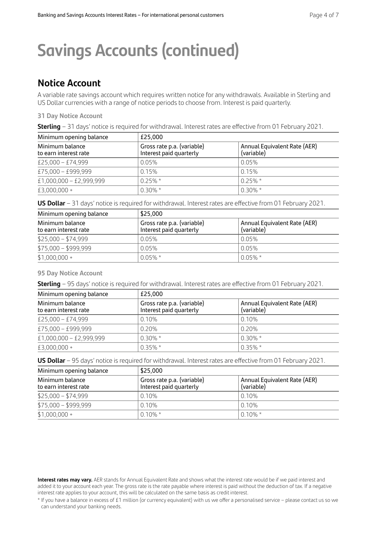## **Savings Accounts (continued)**

### **Notice Account**

A variable rate savings account which requires written notice for any withdrawals. Available in Sterling and US Dollar currencies with a range of notice periods to choose from. Interest is paid quarterly.

#### **31 Day Notice Account**

|  | Sterling - 31 days' notice is required for withdrawal. Interest rates are effective from 01 February 2021. |
|--|------------------------------------------------------------------------------------------------------------|
|--|------------------------------------------------------------------------------------------------------------|

| Minimum opening balance                  | £25.000                                                                                             |            |
|------------------------------------------|-----------------------------------------------------------------------------------------------------|------------|
| Minimum balance<br>to earn interest rate | Gross rate p.a. (variable)<br>Annual Equivalent Rate (AER)<br>(variable)<br>Interest paid quarterly |            |
| £25,000 - £74,999                        | 0.05%                                                                                               | 0.05%      |
| £75,000 - £999,999                       | 0.15%                                                                                               | 0.15%      |
| £1,000,000 - £2,999,999                  | $0.25\%$ *                                                                                          | $0.25\%$ * |
| £3,000,000 +                             | $0.30\% *$                                                                                          | $0.30\%$ * |

**US Dollar** – 31 days' notice is required for withdrawal. Interest rates are effective from 01 February 2021.

| Minimum opening balance                  | \$25,000                                              |                                            |
|------------------------------------------|-------------------------------------------------------|--------------------------------------------|
| Minimum balance<br>to earn interest rate | Gross rate p.a. (variable)<br>Interest paid quarterly | Annual Equivalent Rate (AER)<br>(variable) |
| $$25,000 - $74,999$                      | 0.05%                                                 | 0.05%                                      |
| $$75,000 - $999,999$                     | 0.05%                                                 | 0.05%                                      |
| $$1,000,000 +$                           | $0.05\%$ *                                            | $0.05\%$ *                                 |

#### **95 Day Notice Account**

**Sterling** – 95 days' notice is required for withdrawal. Interest rates are effective from 01 February 2021.

| Minimum opening balance                  | £25,000                                               |                                            |
|------------------------------------------|-------------------------------------------------------|--------------------------------------------|
| Minimum balance<br>to earn interest rate | Gross rate p.a. (variable)<br>Interest paid quarterly | Annual Equivalent Rate (AER)<br>(variable) |
| £25,000 - £74,999                        | 0.10%                                                 | 0.10%                                      |
| £75,000 - £999,999                       | 0.20%                                                 | 0.20%                                      |
| £1,000,000 - £2,999,999                  | $0.30\%$ *                                            | $0.30\%$ *                                 |
| £3,000,000 +                             | $0.35\%$ *                                            | $0.35\%$ *                                 |

**US Dollar** – 95 days' notice is required for withdrawal. Interest rates are effective from 01 February 2021.

| Minimum opening balance                  | \$25,000                                                                                            |            |
|------------------------------------------|-----------------------------------------------------------------------------------------------------|------------|
| Minimum balance<br>to earn interest rate | Gross rate p.a. (variable)<br>Annual Equivalent Rate (AER)<br>Interest paid quarterly<br>(variable) |            |
| $$25,000 - $74,999$                      | 0.10%                                                                                               | 0.10%      |
| $$75,000 - $999,999$                     | 0.10%                                                                                               | 0.10%      |
| $$1,000,000 +$                           | $0.10\%$ *                                                                                          | $0.10\%$ * |

**Interest rates may vary.** AER stands for Annual Equivalent Rate and shows what the interest rate would be if we paid interest and added it to your account each year. The gross rate is the rate payable where interest is paid without the deduction of tax. If a negative interest rate applies to your account, this will be calculated on the same basis as credit interest.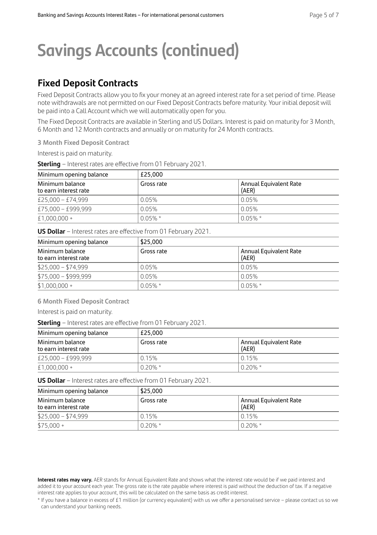## **Savings Accounts (continued)**

### **Fixed Deposit Contracts**

Fixed Deposit Contracts allow you to fix your money at an agreed interest rate for a set period of time. Please note withdrawals are not permitted on our Fixed Deposit Contracts before maturity. Your initial deposit will be paid into a Call Account which we will automatically open for you.

The Fixed Deposit Contracts are available in Sterling and US Dollars. Interest is paid on maturity for 3 Month, 6 Month and 12 Month contracts and annually or on maturity for 24 Month contracts.

**3 Month Fixed Deposit Contract** 

Interest is paid on maturity.

**Sterling** – Interest rates are effective from 01 February 2021.

| Minimum opening balance                  | £25.000    |                                 |  |
|------------------------------------------|------------|---------------------------------|--|
| Minimum balance<br>to earn interest rate | Gross rate | Annual Equivalent Rate<br>(AER) |  |
| £25,000 - £74,999                        | 0.05%      | 0.05%                           |  |
| £75,000 - £999,999                       | 0.05%      | 0.05%                           |  |
| $£1,000,000+$                            | $0.05\%$ * | $0.05\%$ *                      |  |

**US Dollar** – Interest rates are effective from 01 February 2021.

| Minimum opening balance                  | \$25,000   |                                 |  |
|------------------------------------------|------------|---------------------------------|--|
| Minimum balance<br>to earn interest rate | Gross rate | Annual Equivalent Rate<br>(AER) |  |
| $$25,000 - $74,999$                      | 0.05%      | 0.05%                           |  |
| $$75,000 - $999,999$                     | 0.05%      | 0.05%                           |  |
| $$1,000,000 +$                           | $0.05\%$ * | $0.05\%$ *                      |  |

**6 Month Fixed Deposit Contract** 

Interest is paid on maturity.

**Sterling** – Interest rates are effective from 01 February 2021.

| Minimum opening balance                  | £25.000    |                                 |  |
|------------------------------------------|------------|---------------------------------|--|
| Minimum balance<br>to earn interest rate | Gross rate | Annual Equivalent Rate<br>(AER) |  |
| £25,000 - £999,999                       | 0.15%      | l 0 15%                         |  |
| £1,000,000 +                             | $0.20\% *$ | $0.20\% *$                      |  |

**US Dollar** – Interest rates are effective from 01 February 2021.

| Minimum opening balance                  | \$25,000   |                                 |  |
|------------------------------------------|------------|---------------------------------|--|
| Minimum balance<br>to earn interest rate | Gross rate | Annual Equivalent Rate<br>(AER) |  |
| $$25,000 - $74,999$                      | 0.15%      | 0.15%                           |  |
| $$75,000 +$                              | $0.20\%$ * | $0.20\%$ *                      |  |

**Interest rates may vary.** AER stands for Annual Equivalent Rate and shows what the interest rate would be if we paid interest and added it to your account each year. The gross rate is the rate payable where interest is paid without the deduction of tax. If a negative interest rate applies to your account, this will be calculated on the same basis as credit interest.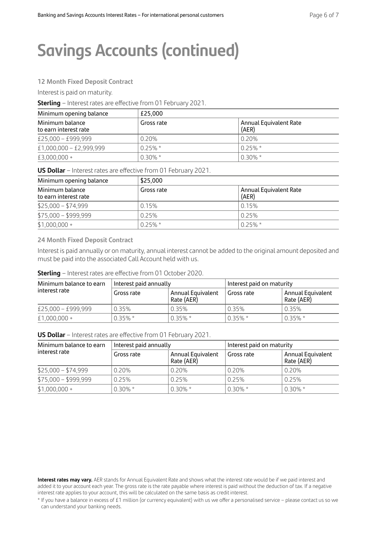## **Savings Accounts (continued)**

#### **12 Month Fixed Deposit Contract**

Interest is paid on maturity.

**Sterling** – Interest rates are effective from 01 February 2021.

| Minimum opening balance                  | £25.000    |                                 |  |
|------------------------------------------|------------|---------------------------------|--|
| Minimum balance<br>to earn interest rate | Gross rate | Annual Equivalent Rate<br>(AER) |  |
| £25,000 - £999,999                       | 0.20%      | 0.20%                           |  |
| £1,000,000 - £2,999,999                  | $0.25\%$ * | $0.25\% *$                      |  |
| £3,000,000 +                             | $0.30\% *$ | $0.30\% *$                      |  |

**US Dollar** – Interest rates are effective from 01 February 2021.

| Minimum opening balance                  | \$25,000   |                                 |  |
|------------------------------------------|------------|---------------------------------|--|
| Minimum balance<br>to earn interest rate | Gross rate | Annual Equivalent Rate<br>(AER) |  |
| $$25,000 - $74,999$                      | 0.15%      | 0.15%                           |  |
| $$75,000 - $999,999$                     | 0.25%      | 0.25%                           |  |
| $$1,000,000 +$                           | $0.25\%$ * | $0.25\%$ *                      |  |

**24 Month Fixed Deposit Contract** 

Interest is paid annually or on maturity, annual interest cannot be added to the original amount deposited and must be paid into the associated Call Account held with us.

**Sterling** – Interest rates are effective from 01 October 2020.

| Minimum balance to earn<br>interest rate | Interest paid annually |                                 | Interest paid on maturity |                                 |
|------------------------------------------|------------------------|---------------------------------|---------------------------|---------------------------------|
|                                          | Gross rate             | Annual Equivalent<br>Rate (AER) | Gross rate                | Annual Equivalent<br>Rate (AER) |
| £25,000 - £999,999                       | 0.35%                  | 0.35%                           | 0.35%                     | 0.35%                           |
| $£1.000.000 +$                           | $0.35\%$ *             | $0.35\%$ *                      | $0.35\%$ *                | $0.35\%$ *                      |

**US Dollar** – Interest rates are effective from 01 February 2021.

| Minimum balance to earn<br>interest rate | Interest paid annually |                                 | Interest paid on maturity |                                 |
|------------------------------------------|------------------------|---------------------------------|---------------------------|---------------------------------|
|                                          | Gross rate             | Annual Equivalent<br>Rate (AER) | Gross rate                | Annual Equivalent<br>Rate (AER) |
| $$25,000 - $74,999$                      | 0.20%                  | 0.20%                           | 0.20%                     | 0.20%                           |
| $$75,000 - $999,999$                     | 0.25%                  | 0.25%                           | 0.25%                     | 0.25%                           |
| $$1,000,000 +$                           | $0.30\% *$             | $0.30\% *$                      | $0.30\% *$                | $0.30\%$ *                      |

**Interest rates may vary.** AER stands for Annual Equivalent Rate and shows what the interest rate would be if we paid interest and added it to your account each year. The gross rate is the rate payable where interest is paid without the deduction of tax. If a negative interest rate applies to your account, this will be calculated on the same basis as credit interest.